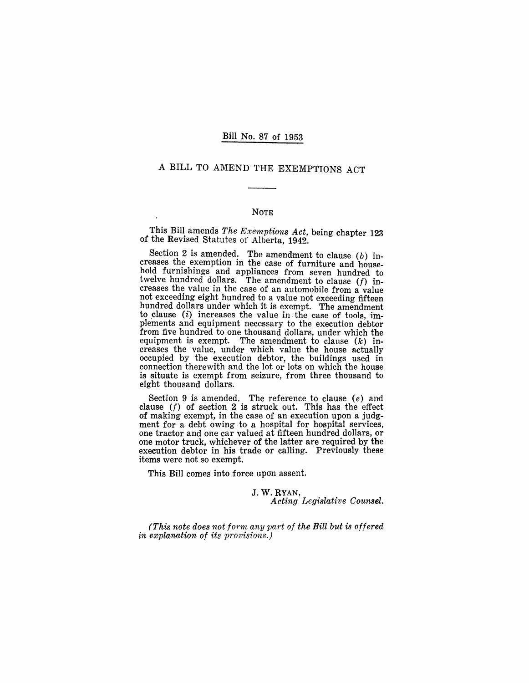### Bill No. 87 of 1953

# A BILL TO AMEND THE EXEMPTIONS ACT

#### NOTE

This Bill amends *The Exemptions Act,* being chapter 123 of the Revised Statutes of Alberta, 1942.

Section 2 is amended. The amendment to clause  $(b)$  increases the exemption in the case of furniture and household furnishings and appliances from seven hundred to twelve hundred dollars. The amendment to clause  $(f)$  increases the value in the case of an automobile from a value not exceeding eight hundred to a value not exceeding fifteen hundred dollars under which it is exempt. The amendment to clause  $(i)$  increases the value in the case of tools, implements and equipment necessary to the execution debtor from five hundred to one thousand dollars, under which the equipment is exempt. The amendment to clause  $(k)$  increases the value, under which value the house actually occupied by the execution debtor, the buildings used in connection therewith and the lot or lots on which the house is situate is exempt from seizure, from three thousand to eight thousand dollars.

Section 9 is amended. The reference to clause  $(e)$  and clause *(f)* of section 2 is struck out. This has the effect of making exempt, in the case of an execution upon a judgment for a debt owing to a hospital for hospital services, one tractor and one car valued at fifteen hundred dollars, or one motor truck, whichever of the latter are required by the execution debtor in his trade or calling. Previously these items were not so exempt.

This Bill comes into force upon assent.

J. W. RYAN, *Acting Legislative Counsel.* 

*(This note does not form any part of the Bill but is offered in explanation of its provisions.)*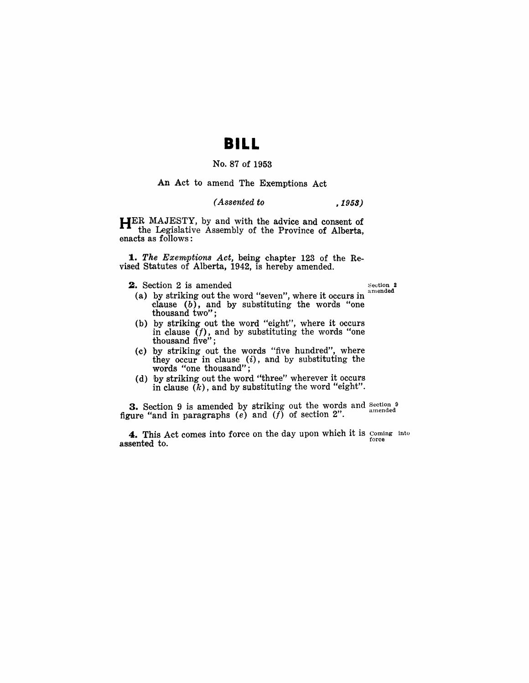# **BILL**

## No. 87 of 1953

#### **An** Act to amend The Exemptions Act

#### *( Assented to ,1959)*

**HER** MAJESTY, by and with the advice and consent of the Legislative Assembly of the Province of Alberta, enacts as follows:

*1. The Exemptions Act,* being chapter 123 of the Revised Statutes of Alberta, 1942, is hereby amended.

**2.** Section 2 is amended Section 2

- (a) by striking out the word "seven", where it occurs in clause  $(b)$ , and by substituting the words "one thousand two";
- (b) by striking out the word "eight", where it occurs in clause  $\tilde{f}$ ), and by substituting the words "one thousand five";
- (c) by striking out the words "five hundred", where they occur in clause  $(i)$ , and by substituting the words "one thousand";
- (d) by striking out the word. "three" wherever it occurs in clause  $(k)$ , and by substituting the word "eight".

**3.** Section 9 is amended by striking out the words and Section 9 amended figure "and in paragraphs  $(e)$  and  $(f)$  of section 2".

4. This Act comes into force on the day upon which it is coming into assented to.  $\qquad \qquad \text{force}$